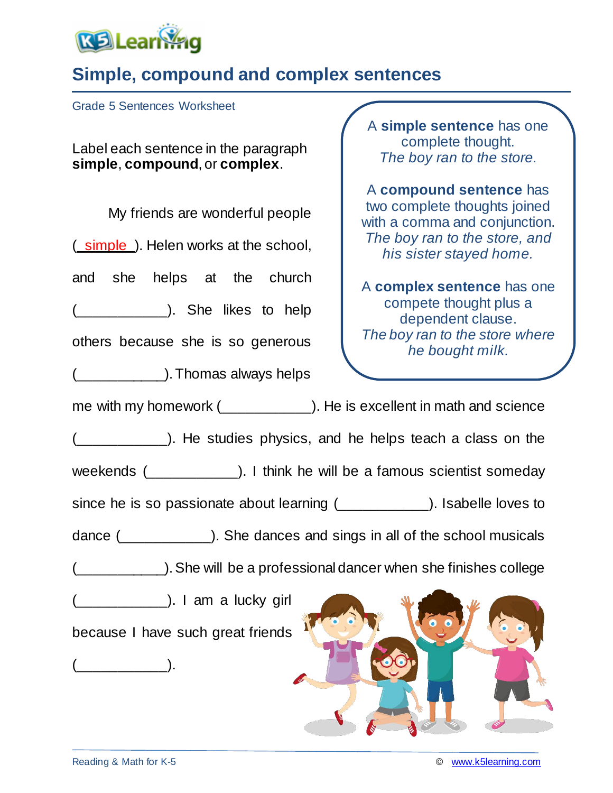

## **Simple, compound and complex sentences**

Grade 5 Sentences Worksheet

Label each sentence in the paragraph **simple**, **compound**, or **complex**.

My friends are wonderful people (simple). Helen works at the school, and she helps at the church (\_\_\_\_\_\_\_\_\_\_\_\_\_\_\_\_). She likes to help others because she is so generous (\_\_\_\_\_\_\_\_\_\_\_).Thomas always helps me with my homework (\_\_\_\_\_\_\_\_\_\_\_\_). He is excellent in math and science (\_\_\_\_\_\_\_\_\_\_\_). He studies physics, and he helps teach a class on the weekends (\_\_\_\_\_\_\_\_\_\_\_\_). I think he will be a famous scientist someday since he is so passionate about learning (\_\_\_\_\_\_\_\_\_\_\_). Isabelle loves to dance (\_\_\_\_\_\_\_\_\_\_\_). She dances and sings in all of the school musicals (\_\_\_\_\_\_\_\_\_\_\_).She will be a professional dancer when she finishes college (\_\_\_\_\_\_\_\_\_\_\_). I am a lucky girl because I have such great friends (\_\_\_\_\_\_\_\_\_\_\_). two complete thoughts joined with a comma and conjunction. *The boy ran to the store, and his sister stayed home.* A **complex sentence** has one compete thought plus a dependent clause. *The boy ran to the store where he bought milk.*

A **simple sentence** has one complete thought. *The boy ran to the store.*

A **compound sentence** has